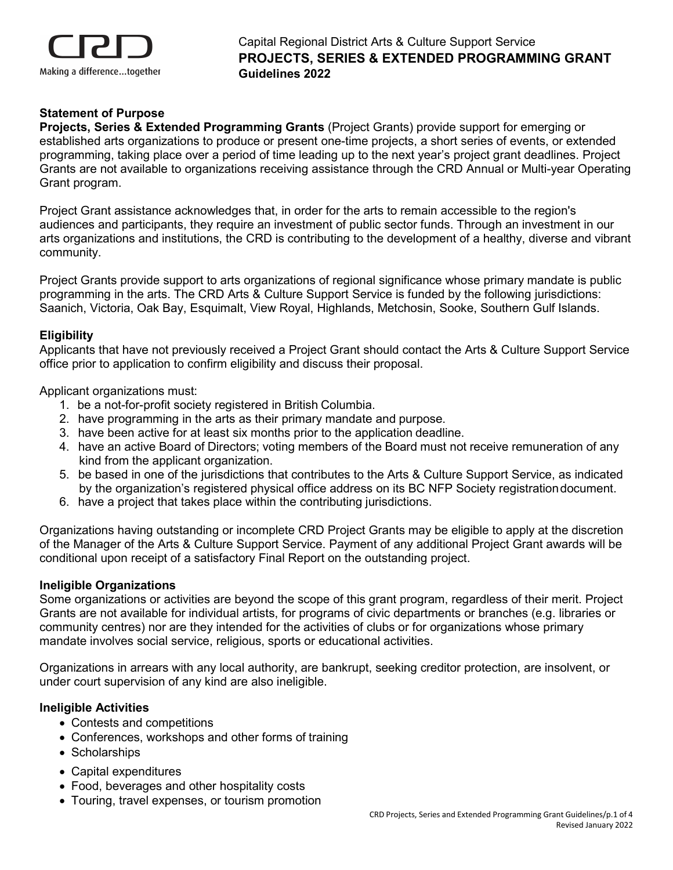

## **Statement of Purpose**

**Projects, Series & Extended Programming Grants** (Project Grants) provide support for emerging or established arts organizations to produce or present one-time projects, a short series of events, or extended programming, taking place over a period of time leading up to the next year's project grant deadlines. Project Grants are not available to organizations receiving assistance through the CRD Annual or Multi-year Operating Grant program.

Project Grant assistance acknowledges that, in order for the arts to remain accessible to the region's audiences and participants, they require an investment of public sector funds. Through an investment in our arts organizations and institutions, the CRD is contributing to the development of a healthy, diverse and vibrant community.

Project Grants provide support to arts organizations of regional significance whose primary mandate is public programming in the arts. The CRD Arts & Culture Support Service is funded by the following jurisdictions: Saanich, Victoria, Oak Bay, Esquimalt, View Royal, Highlands, Metchosin, Sooke, Southern Gulf Islands.

#### **Eligibility**

Applicants that have not previously received a Project Grant should contact the Arts & Culture Support Service office prior to application to confirm eligibility and discuss their proposal.

Applicant organizations must:

- 1. be a not-for-profit society registered in British Columbia.
- 2. have programming in the arts as their primary mandate and purpose.
- 3. have been active for at least six months prior to the application deadline.
- 4. have an active Board of Directors; voting members of the Board must not receive remuneration of any kind from the applicant organization.
- 5. be based in one of the jurisdictions that contributes to the Arts & Culture Support Service, as indicated by the organization's registered physical office address on its BC NFP Society registrationdocument.
- 6. have a project that takes place within the contributing jurisdictions.

Organizations having outstanding or incomplete CRD Project Grants may be eligible to apply at the discretion of the Manager of the Arts & Culture Support Service. Payment of any additional Project Grant awards will be conditional upon receipt of a satisfactory Final Report on the outstanding project.

#### **Ineligible Organizations**

Some organizations or activities are beyond the scope of this grant program, regardless of their merit. Project Grants are not available for individual artists, for programs of civic departments or branches (e.g. libraries or community centres) nor are they intended for the activities of clubs or for organizations whose primary mandate involves social service, religious, sports or educational activities.

Organizations in arrears with any local authority, are bankrupt, seeking creditor protection, are insolvent, or under court supervision of any kind are also ineligible.

#### **Ineligible Activities**

- Contests and competitions
- Conferences, workshops and other forms of training
- Scholarships
- Capital expenditures
- Food, beverages and other hospitality costs
- Touring, travel expenses, or tourism promotion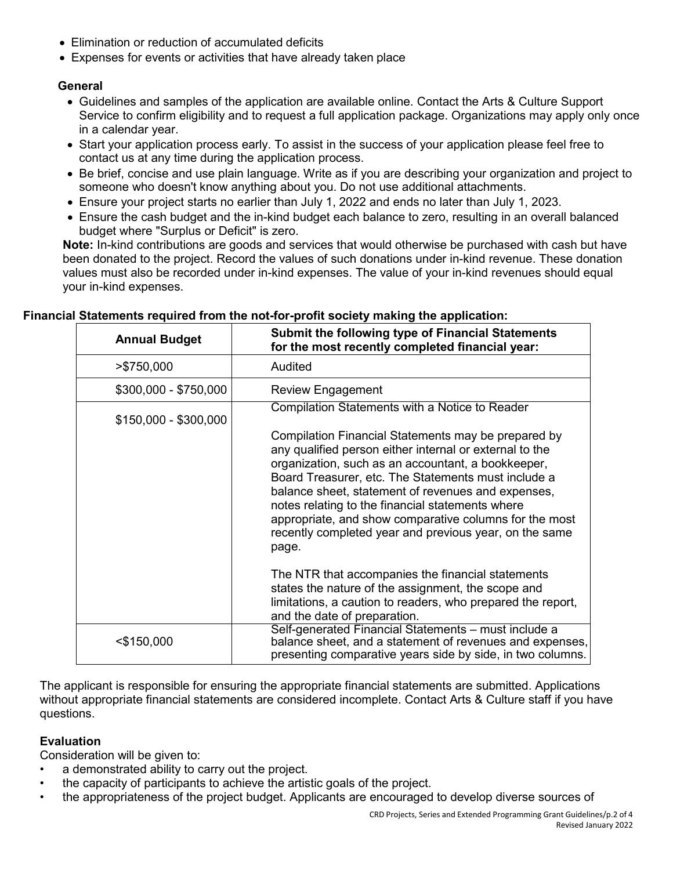- Elimination or reduction of accumulated deficits
- Expenses for events or activities that have already taken place

## **General**

- Guidelines and samples of the application are available online. Contact the Arts & Culture Support Service to confirm eligibility and to request a full application package. Organizations may apply only once in a calendar year.
- Start your application process early. To assist in the success of your application please feel free to contact us at any time during the application process.
- Be brief, concise and use plain language. Write as if you are describing your organization and project to someone who doesn't know anything about you. Do not use additional attachments.
- Ensure your project starts no earlier than July 1, 2022 and ends no later than July 1, 2023.
- Ensure the cash budget and the in-kind budget each balance to zero, resulting in an overall balanced budget where "Surplus or Deficit" is zero.

**Note:** In-kind contributions are goods and services that would otherwise be purchased with cash but have been donated to the project. Record the values of such donations under in-kind revenue. These donation values must also be recorded under in-kind expenses. The value of your in-kind revenues should equal your in-kind expenses.

| <b>Annual Budget</b>  | <b>Submit the following type of Financial Statements</b><br>for the most recently completed financial year:                                                                                                                                                                                                                                                                                                                                                        |  |
|-----------------------|--------------------------------------------------------------------------------------------------------------------------------------------------------------------------------------------------------------------------------------------------------------------------------------------------------------------------------------------------------------------------------------------------------------------------------------------------------------------|--|
| >\$750,000            | Audited                                                                                                                                                                                                                                                                                                                                                                                                                                                            |  |
| \$300,000 - \$750,000 | <b>Review Engagement</b>                                                                                                                                                                                                                                                                                                                                                                                                                                           |  |
| $$150,000 - $300,000$ | Compilation Statements with a Notice to Reader                                                                                                                                                                                                                                                                                                                                                                                                                     |  |
|                       | Compilation Financial Statements may be prepared by<br>any qualified person either internal or external to the<br>organization, such as an accountant, a bookkeeper,<br>Board Treasurer, etc. The Statements must include a<br>balance sheet, statement of revenues and expenses,<br>notes relating to the financial statements where<br>appropriate, and show comparative columns for the most<br>recently completed year and previous year, on the same<br>page. |  |
|                       | The NTR that accompanies the financial statements<br>states the nature of the assignment, the scope and<br>limitations, a caution to readers, who prepared the report,<br>and the date of preparation.                                                                                                                                                                                                                                                             |  |
| <\$150,000            | Self-generated Financial Statements - must include a<br>balance sheet, and a statement of revenues and expenses,<br>presenting comparative years side by side, in two columns.                                                                                                                                                                                                                                                                                     |  |

#### **Financial Statements required from the not-for-profit society making the application:**

The applicant is responsible for ensuring the appropriate financial statements are submitted. Applications without appropriate financial statements are considered incomplete. Contact Arts & Culture staff if you have questions.

### **Evaluation**

Consideration will be given to:

- a demonstrated ability to carry out the project.
- the capacity of participants to achieve the artistic goals of the project.
- the appropriateness of the project budget. Applicants are encouraged to develop diverse sources of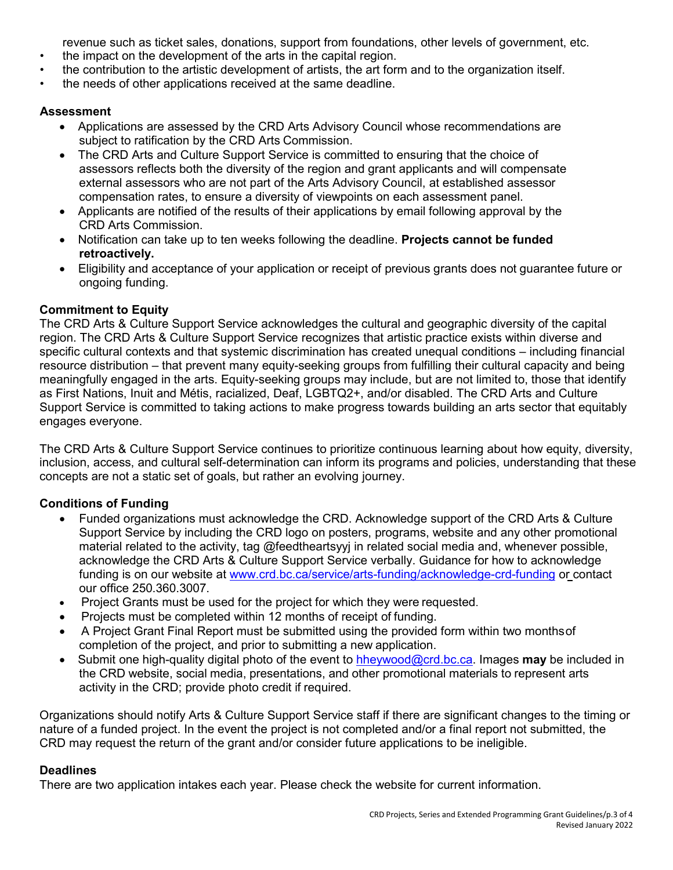revenue such as ticket sales, donations, support from foundations, other levels of government, etc.

- the impact on the development of the arts in the capital region.
- the contribution to the artistic development of artists, the art form and to the organization itself.
- the needs of other applications received at the same deadline.

## **Assessment**

- Applications are assessed by the CRD Arts Advisory Council whose recommendations are subject to ratification by the CRD Arts Commission.
- The CRD Arts and Culture Support Service is committed to ensuring that the choice of assessors reflects both the diversity of the region and grant applicants and will compensate external assessors who are not part of the Arts Advisory Council, at established assessor compensation rates, to ensure a diversity of viewpoints on each assessment panel.
- Applicants are notified of the results of their applications by email following approval by the CRD Arts Commission.
- Notification can take up to ten weeks following the deadline. **Projects cannot be funded retroactively.**
- Eligibility and acceptance of your application or receipt of previous grants does not guarantee future or ongoing funding.

# **Commitment to Equity**

The CRD Arts & Culture Support Service acknowledges the cultural and geographic diversity of the capital region. The CRD Arts & Culture Support Service recognizes that artistic practice exists within diverse and specific cultural contexts and that systemic discrimination has created unequal conditions – including financial resource distribution – that prevent many equity-seeking groups from fulfilling their cultural capacity and being meaningfully engaged in the arts. Equity-seeking groups may include, but are not limited to, those that identify as First Nations, Inuit and Métis, racialized, Deaf, LGBTQ2+, and/or disabled. The CRD Arts and Culture Support Service is committed to taking actions to make progress towards building an arts sector that equitably engages everyone.

The CRD Arts & Culture Support Service continues to prioritize continuous learning about how equity, diversity, inclusion, access, and cultural self-determination can inform its programs and policies, understanding that these concepts are not a static set of goals, but rather an evolving journey.

# **Conditions of Funding**

- Funded organizations must acknowledge the CRD. Acknowledge support of the CRD Arts & Culture Support Service by including the CRD logo on posters, programs, website and any other promotional material related to the activity, tag @feedtheartsyyj in related social media and, whenever possible, acknowledge the CRD Arts & Culture Support Service verbally. Guidance for how to acknowledge funding is on our website at [www.crd.bc.ca/service/arts-funding/acknowledge-crd-funding](http://www.crd.bc.ca/service/arts-funding/acknowledge-crd-funding) or contact our office 250.360.3007.
- Project Grants must be used for the project for which they were requested.
- Projects must be completed within 12 months of receipt of funding.
- A Project Grant Final Report must be submitted using the provided form within two monthsof completion of the project, and prior to submitting a new application.
- Submit one high-quality digital photo of the event to [hheywood@crd.bc.ca. I](mailto:hheywood@crd.bc.ca)mages **may** be included in the CRD website, social media, presentations, and other promotional materials to represent arts activity in the CRD; provide photo credit if required.

Organizations should notify Arts & Culture Support Service staff if there are significant changes to the timing or nature of a funded project. In the event the project is not completed and/or a final report not submitted, the CRD may request the return of the grant and/or consider future applications to be ineligible.

# **Deadlines**

There are two application intakes each year. Please check the website for current information.